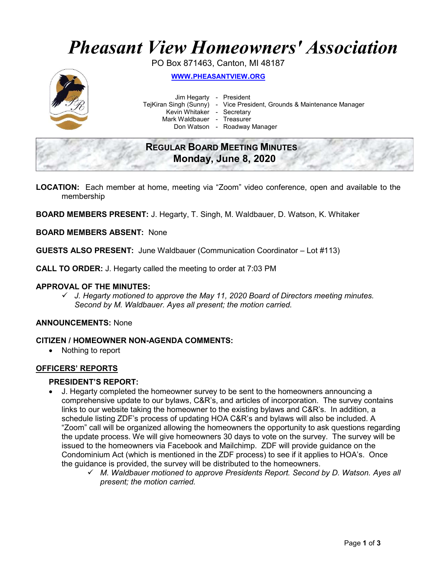# Pheasant View Homeowners' Association

PO Box 871463, Canton, MI 48187



WWW.PHEASANTVIEW.ORG

 Jim Hegarty - President Kevin Whitaker - Secretary

TejKiran Singh (Sunny) - Vice President, Grounds & Maintenance Manager

Mark Waldbauer - Treasurer

Don Watson - Roadway Manager

# REGULAR BOARD MEETING MINUTES Monday, June 8, 2020

LOCATION: Each member at home, meeting via "Zoom" video conference, open and available to the membership

BOARD MEMBERS PRESENT: J. Hegarty, T. Singh, M. Waldbauer, D. Watson, K. Whitaker

## BOARD MEMBERS ABSENT: None

GUESTS ALSO PRESENT: June Waldbauer (Communication Coordinator – Lot #113)

CALL TO ORDER: J. Hegarty called the meeting to order at 7:03 PM

#### APPROVAL OF THE MINUTES:

 $\checkmark$  J. Hegarty motioned to approve the May 11, 2020 Board of Directors meeting minutes. Second by M. Waldbauer. Ayes all present; the motion carried.

# ANNOUNCEMENTS: None

#### CITIZEN / HOMEOWNER NON-AGENDA COMMENTS:

• Nothing to report

# OFFICERS' REPORTS

# PRESIDENT'S REPORT:

- J. Hegarty completed the homeowner survey to be sent to the homeowners announcing a comprehensive update to our bylaws, C&R's, and articles of incorporation. The survey contains links to our website taking the homeowner to the existing bylaws and C&R's. In addition, a schedule listing ZDF's process of updating HOA C&R's and bylaws will also be included. A "Zoom" call will be organized allowing the homeowners the opportunity to ask questions regarding the update process. We will give homeowners 30 days to vote on the survey. The survey will be issued to the homeowners via Facebook and Mailchimp. ZDF will provide guidance on the Condominium Act (which is mentioned in the ZDF process) to see if it applies to HOA's. Once the guidance is provided, the survey will be distributed to the homeowners.
	- $\checkmark$  M. Waldbauer motioned to approve Presidents Report. Second by D. Watson. Ayes all present; the motion carried.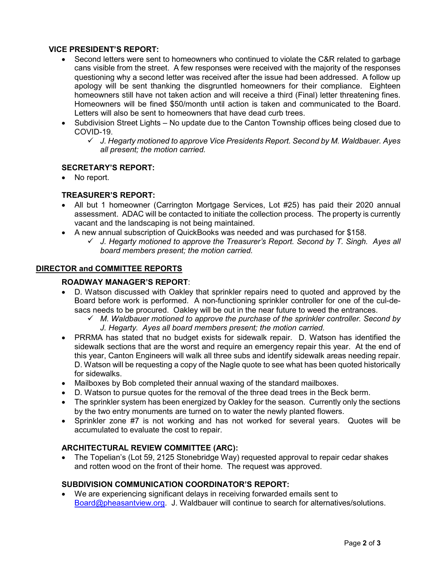# VICE PRESIDENT'S REPORT:

- Second letters were sent to homeowners who continued to violate the C&R related to garbage cans visible from the street. A few responses were received with the majority of the responses questioning why a second letter was received after the issue had been addressed. A follow up apology will be sent thanking the disgruntled homeowners for their compliance. Eighteen homeowners still have not taken action and will receive a third (Final) letter threatening fines. Homeowners will be fined \$50/month until action is taken and communicated to the Board. Letters will also be sent to homeowners that have dead curb trees.
- Subdivision Street Lights No update due to the Canton Township offices being closed due to COVID-19.
	- $\checkmark$  J. Hegarty motioned to approve Vice Presidents Report. Second by M. Waldbauer. Ayes all present; the motion carried.

# SECRETARY'S REPORT:

• No report.

## TREASURER'S REPORT:

- All but 1 homeowner (Carrington Mortgage Services, Lot #25) has paid their 2020 annual assessment. ADAC will be contacted to initiate the collection process. The property is currently vacant and the landscaping is not being maintained.
- A new annual subscription of QuickBooks was needed and was purchased for \$158.
	- $\checkmark$  J. Hegarty motioned to approve the Treasurer's Report. Second by T. Singh. Ayes all board members present; the motion carried.

#### DIRECTOR and COMMITTEE REPORTS

## ROADWAY MANAGER'S REPORT:

- D. Watson discussed with Oakley that sprinkler repairs need to quoted and approved by the Board before work is performed. A non-functioning sprinkler controller for one of the cul-desacs needs to be procured. Oakley will be out in the near future to weed the entrances.
	- $\checkmark$  M. Waldbauer motioned to approve the purchase of the sprinkler controller. Second by J. Hegarty. Ayes all board members present; the motion carried.
- PRRMA has stated that no budget exists for sidewalk repair. D. Watson has identified the sidewalk sections that are the worst and require an emergency repair this year. At the end of this year, Canton Engineers will walk all three subs and identify sidewalk areas needing repair. D. Watson will be requesting a copy of the Nagle quote to see what has been quoted historically for sidewalks.
- Mailboxes by Bob completed their annual waxing of the standard mailboxes.
- D. Watson to pursue quotes for the removal of the three dead trees in the Beck berm.
- The sprinkler system has been energized by Oakley for the season. Currently only the sections by the two entry monuments are turned on to water the newly planted flowers.
- Sprinkler zone #7 is not working and has not worked for several years. Quotes will be accumulated to evaluate the cost to repair.

#### ARCHITECTURAL REVIEW COMMITTEE (ARC):

 The Topelian's (Lot 59, 2125 Stonebridge Way) requested approval to repair cedar shakes and rotten wood on the front of their home. The request was approved.

#### SUBDIVISION COMMUNICATION COORDINATOR'S REPORT:

 We are experiencing significant delays in receiving forwarded emails sent to Board@pheasantview.org. J. Waldbauer will continue to search for alternatives/solutions.